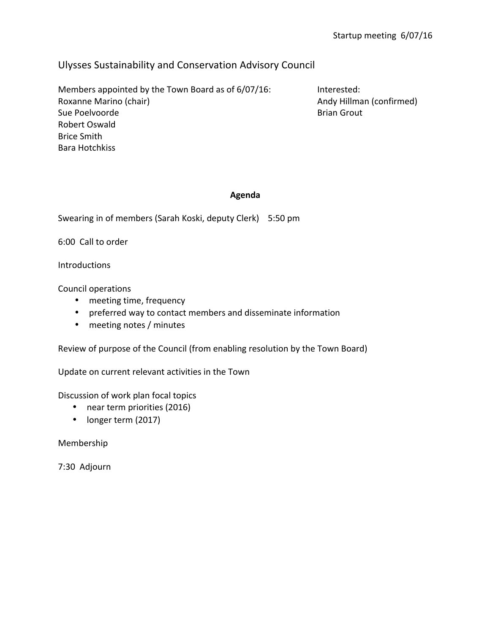## Ulysses Sustainability and Conservation Advisory Council

Members appointed by the Town Board as of 6/07/16: Interested: Roxanne Marino (chair) and a state of the Marino (chair) and a state of the Marino (confirmed) Sue Poelvoorde **Brian Grout Brian** Grout **Brian** Grout Robert Oswald Brice Smith Bara Hotchkiss

## **Agenda**

Swearing in of members (Sarah Koski, deputy Clerk) 5:50 pm

6:00 Call to order

Introductions

Council operations

- meeting time, frequency
- preferred way to contact members and disseminate information
- meeting notes / minutes

Review of purpose of the Council (from enabling resolution by the Town Board)

Update on current relevant activities in the Town

Discussion of work plan focal topics

- near term priorities (2016)
- longer term (2017)

Membership 

7:30 Adjourn